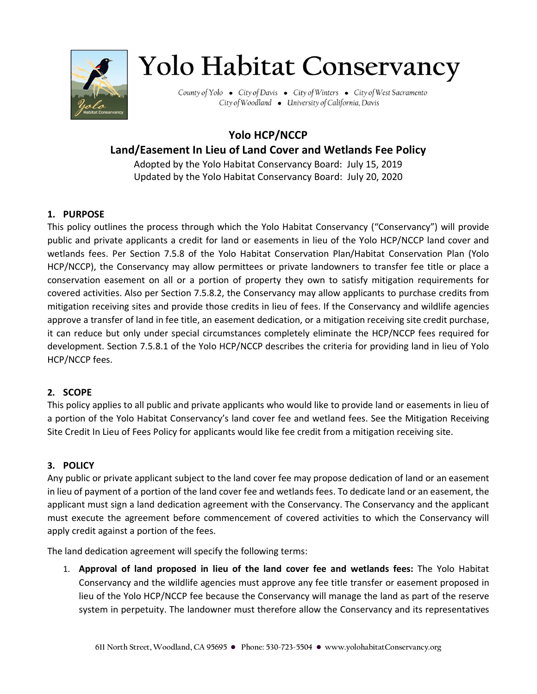

# **Yolo Habitat Conservancy**

County of Yolo • City of Davis • City of Winters • City of West Sacramento City of Woodland • University of California, Davis

# **Yolo HCP/NCCP Land/Easement In Lieu of Land Cover and Wetlands Fee Policy**

Adopted by the Yolo Habitat Conservancy Board: July 15, 2019 Updated by the Yolo Habitat Conservancy Board: July 20, 2020

## **1. PURPOSE**

This policy outlines the process through which the Yolo Habitat Conservancy ("Conservancy") will provide public and private applicants a credit for land or easements in lieu of the Yolo HCP/NCCP land cover and wetlands fees. Per Section 7.5.8 of the Yolo Habitat Conservation Plan/Habitat Conservation Plan (Yolo HCP/NCCP), the Conservancy may allow permittees or private landowners to transfer fee title or place a conservation easement on all or a portion of property they own to satisfy mitigation requirements for covered activities. Also per Section 7.5.8.2, the Conservancy may allow applicants to purchase credits from mitigation receiving sites and provide those credits in lieu of fees. If the Conservancy and wildlife agencies approve a transfer of land in fee title, an easement dedication, or a mitigation receiving site credit purchase, it can reduce but only under special circumstances completely eliminate the HCP/NCCP fees required for development. Section 7.5.8.1 of the Yolo HCP/NCCP describes the criteria for providing land in lieu of Yolo HCP/NCCP fees.

#### **2. SCOPE**

This policy applies to all public and private applicants who would like to provide land or easements in lieu of a portion of the Yolo Habitat Conservancy's land cover fee and wetland fees. See the Mitigation Receiving Site Credit In Lieu of Fees Policy for applicants would like fee credit from a mitigation receiving site.

## **3. POLICY**

Any public or private applicant subject to the land cover fee may propose dedication of land or an easement in lieu of payment of a portion of the land cover fee and wetlands fees. To dedicate land or an easement, the applicant must sign a land dedication agreement with the Conservancy. The Conservancy and the applicant must execute the agreement before commencement of covered activities to which the Conservancy will apply credit against a portion of the fees.

The land dedication agreement will specify the following terms:

1. **Approval of land proposed in lieu of the land cover fee and wetlands fees:** The Yolo Habitat Conservancy and the wildlife agencies must approve any fee title transfer or easement proposed in lieu of the Yolo HCP/NCCP fee because the Conservancy will manage the land as part of the reserve system in perpetuity. The landowner must therefore allow the Conservancy and its representatives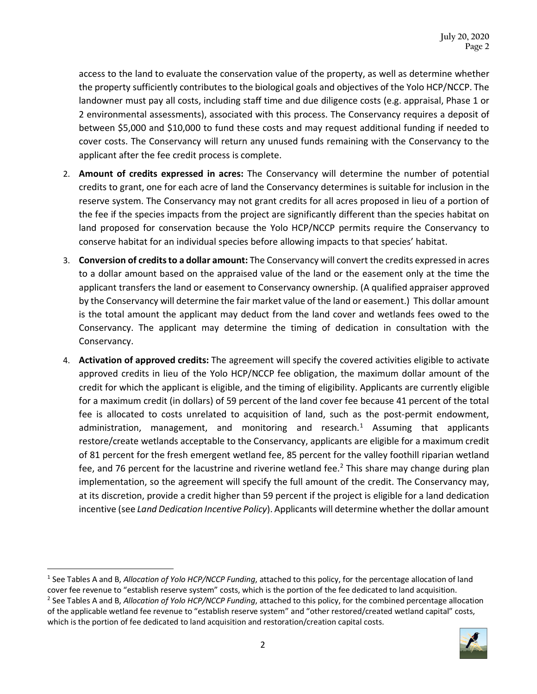access to the land to evaluate the conservation value of the property, as well as determine whether the property sufficiently contributes to the biological goals and objectives of the Yolo HCP/NCCP. The landowner must pay all costs, including staff time and due diligence costs (e.g. appraisal, Phase 1 or 2 environmental assessments), associated with this process. The Conservancy requires a deposit of between \$5,000 and \$10,000 to fund these costs and may request additional funding if needed to cover costs. The Conservancy will return any unused funds remaining with the Conservancy to the applicant after the fee credit process is complete.

- 2. **Amount of credits expressed in acres:** The Conservancy will determine the number of potential credits to grant, one for each acre of land the Conservancy determines is suitable for inclusion in the reserve system. The Conservancy may not grant credits for all acres proposed in lieu of a portion of the fee if the species impacts from the project are significantly different than the species habitat on land proposed for conservation because the Yolo HCP/NCCP permits require the Conservancy to conserve habitat for an individual species before allowing impacts to that species' habitat.
- 3. **Conversion of credits to a dollar amount:** The Conservancy will convert the credits expressed in acres to a dollar amount based on the appraised value of the land or the easement only at the time the applicant transfers the land or easement to Conservancy ownership. (A qualified appraiser approved by the Conservancy will determine the fair market value of the land or easement.) This dollar amount is the total amount the applicant may deduct from the land cover and wetlands fees owed to the Conservancy. The applicant may determine the timing of dedication in consultation with the Conservancy.
- 4. **Activation of approved credits:** The agreement will specify the covered activities eligible to activate approved credits in lieu of the Yolo HCP/NCCP fee obligation, the maximum dollar amount of the credit for which the applicant is eligible, and the timing of eligibility. Applicants are currently eligible for a maximum credit (in dollars) of 59 percent of the land cover fee because 41 percent of the total fee is allocated to costs unrelated to acquisition of land, such as the post-permit endowment, administration, management, and monitoring and research.<sup>[1](#page-1-0)</sup> Assuming that applicants restore/create wetlands acceptable to the Conservancy, applicants are eligible for a maximum credit of 81 percent for the fresh emergent wetland fee, 85 percent for the valley foothill riparian wetland fee, and 76 percent for the lacustrine and riverine wetland fee.<sup>[2](#page-1-1)</sup> This share may change during plan implementation, so the agreement will specify the full amount of the credit. The Conservancy may, at its discretion, provide a credit higher than 59 percent if the project is eligible for a land dedication incentive (see *Land Dedication Incentive Policy*). Applicants will determine whether the dollar amount

<span id="page-1-1"></span>cover fee revenue to "establish reserve system" costs, which is the portion of the fee dedicated to land acquisition.<br><sup>2</sup> See Tables A and B, Allocation of Yolo HCP/NCCP Funding, attached to this policy, for the combined p of the applicable wetland fee revenue to "establish reserve system" and "other restored/created wetland capital" costs, which is the portion of fee dedicated to land acquisition and restoration/creation capital costs.



<span id="page-1-0"></span><sup>1</sup> See Tables A and B, *Allocation of Yolo HCP/NCCP Funding*, attached to this policy, for the percentage allocation of land